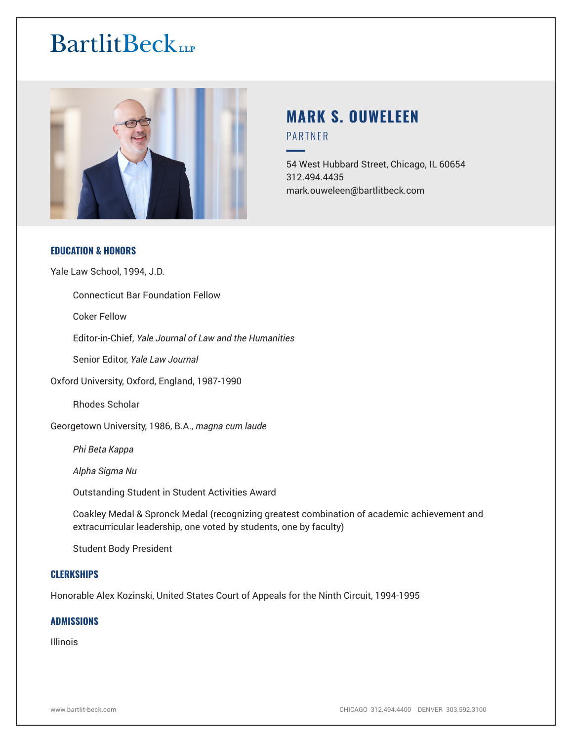

# **MARK S. OUWELEEN** PARTNER

54 West Hubbard Street, Chicago, IL 60654 312.494.4435 mark.ouweleen@bartlitbeck.com

# **EDUCATION & HONORS**

Yale Law School, 1994, J.D.

Connecticut Bar Foundation Fellow

Coker Fellow

Editor-in-Chief, *Yale Journal of Law and the Humanities*

Senior Editor, *Yale Law Journal*

Oxford University, Oxford, England, 1987-1990

Rhodes Scholar

Georgetown University, 1986, B.A., *magna cum laude*

*Phi Beta Kappa*

*Alpha Sigma Nu*

Outstanding Student in Student Activities Award

Coakley Medal & Spronck Medal (recognizing greatest combination of academic achievement and extracurricular leadership, one voted by students, one by faculty)

Student Body President

### **CLERKSHIPS**

Honorable Alex Kozinski, United States Court of Appeals for the Ninth Circuit, 1994-1995

### **ADMISSIONS**

Illinois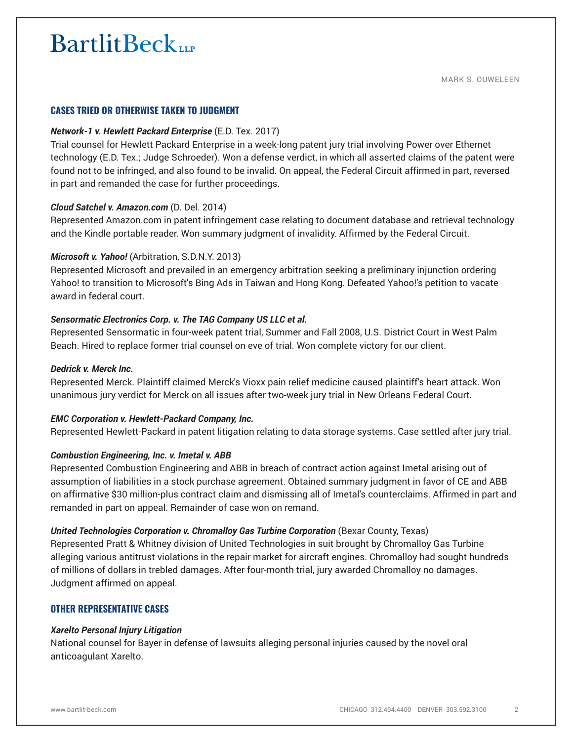# **CASES TRIED OR OTHERWISE TAKEN TO JUDGMENT**

### *Network-1 v. Hewlett Packard Enterprise* (E.D. Tex. 2017)

Trial counsel for Hewlett Packard Enterprise in a week-long patent jury trial involving Power over Ethernet technology (E.D. Tex.; Judge Schroeder). Won a defense verdict, in which all asserted claims of the patent were found not to be infringed, and also found to be invalid. On appeal, the Federal Circuit affirmed in part, reversed in part and remanded the case for further proceedings.

### *Cloud Satchel v. Amazon.com* (D. Del. 2014)

Represented Amazon.com in patent infringement case relating to document database and retrieval technology and the Kindle portable reader. Won summary judgment of invalidity. Affirmed by the Federal Circuit.

### *Microsoft v. Yahoo!* (Arbitration, S.D.N.Y. 2013)

Represented Microsoft and prevailed in an emergency arbitration seeking a preliminary injunction ordering Yahoo! to transition to Microsoft's Bing Ads in Taiwan and Hong Kong. Defeated Yahoo!'s petition to vacate award in federal court.

### *Sensormatic Electronics Corp. v. The TAG Company US LLC et al.*

Represented Sensormatic in four-week patent trial, Summer and Fall 2008, U.S. District Court in West Palm Beach. Hired to replace former trial counsel on eve of trial. Won complete victory for our client.

### *Dedrick v. Merck Inc.*

Represented Merck. Plaintiff claimed Merck's Vioxx pain relief medicine caused plaintiff's heart attack. Won unanimous jury verdict for Merck on all issues after two-week jury trial in New Orleans Federal Court.

### *EMC Corporation v. Hewlett-Packard Company, Inc.*

Represented Hewlett-Packard in patent litigation relating to data storage systems. Case settled after jury trial.

### *Combustion Engineering, Inc. v. Imetal v. ABB*

Represented Combustion Engineering and ABB in breach of contract action against Imetal arising out of assumption of liabilities in a stock purchase agreement. Obtained summary judgment in favor of CE and ABB on affirmative \$30 million-plus contract claim and dismissing all of Imetal's counterclaims. Affirmed in part and remanded in part on appeal. Remainder of case won on remand.

### *United Technologies Corporation v. Chromalloy Gas Turbine Corporation* **(Bexar County, Texas)**

Represented Pratt & Whitney division of United Technologies in suit brought by Chromalloy Gas Turbine alleging various antitrust violations in the repair market for aircraft engines. Chromalloy had sought hundreds of millions of dollars in trebled damages. After four-month trial, jury awarded Chromalloy no damages. Judgment affirmed on appeal.

# **OTHER REPRESENTATIVE CASES**

### *Xarelto Personal Injury Litigation*

National counsel for Bayer in defense of lawsuits alleging personal injuries caused by the novel oral anticoagulant Xarelto.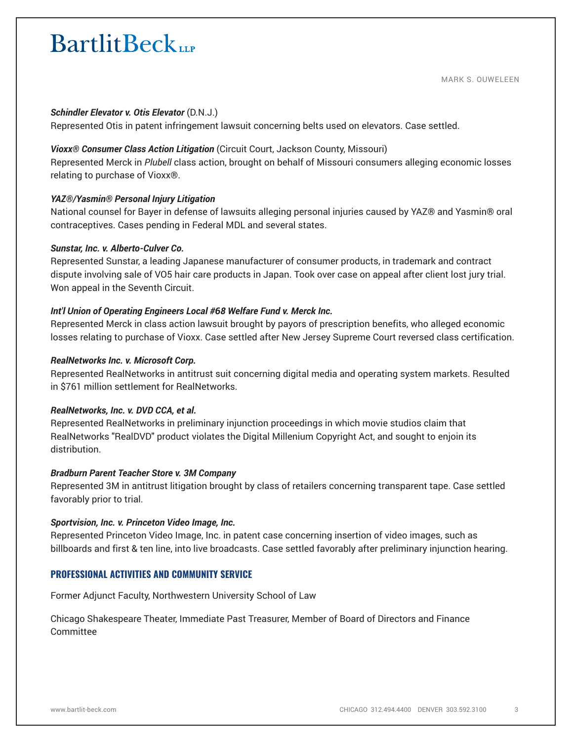### *Schindler Elevator v. Otis Elevator* (D.N.J.)

Represented Otis in patent infringement lawsuit concerning belts used on elevators. Case settled.

# *Vioxx® Consumer Class Action Litigation* (Circuit Court, Jackson County, Missouri)

Represented Merck in *Plubell* class action, brought on behalf of Missouri consumers alleging economic losses relating to purchase of Vioxx®.

# *YAZ®/Yasmin® Personal Injury Litigation*

National counsel for Bayer in defense of lawsuits alleging personal injuries caused by YAZ® and Yasmin® oral contraceptives. Cases pending in Federal MDL and several states.

### *Sunstar, Inc. v. Alberto-Culver Co.*

Represented Sunstar, a leading Japanese manufacturer of consumer products, in trademark and contract dispute involving sale of VO5 hair care products in Japan. Took over case on appeal after client lost jury trial. Won appeal in the Seventh Circuit.

# *Int'l Union of Operating Engineers Local #68 Welfare Fund v. Merck Inc.*

Represented Merck in class action lawsuit brought by payors of prescription benefits, who alleged economic losses relating to purchase of Vioxx. Case settled after New Jersey Supreme Court reversed class certification.

### *RealNetworks Inc. v. Microsoft Corp.*

Represented RealNetworks in antitrust suit concerning digital media and operating system markets. Resulted in \$761 million settlement for RealNetworks.

# *RealNetworks, Inc. v. DVD CCA, et al.*

Represented RealNetworks in preliminary injunction proceedings in which movie studios claim that RealNetworks "RealDVD" product violates the Digital Millenium Copyright Act, and sought to enjoin its distribution.

### *Bradburn Parent Teacher Store v. 3M Company*

Represented 3M in antitrust litigation brought by class of retailers concerning transparent tape. Case settled favorably prior to trial.

# *Sportvision, Inc. v. Princeton Video Image, Inc.*

Represented Princeton Video Image, Inc. in patent case concerning insertion of video images, such as billboards and first & ten line, into live broadcasts. Case settled favorably after preliminary injunction hearing.

# **PROFESSIONAL ACTIVITIES AND COMMUNITY SERVICE**

Former Adjunct Faculty, Northwestern University School of Law

Chicago Shakespeare Theater, Immediate Past Treasurer, Member of Board of Directors and Finance Committee